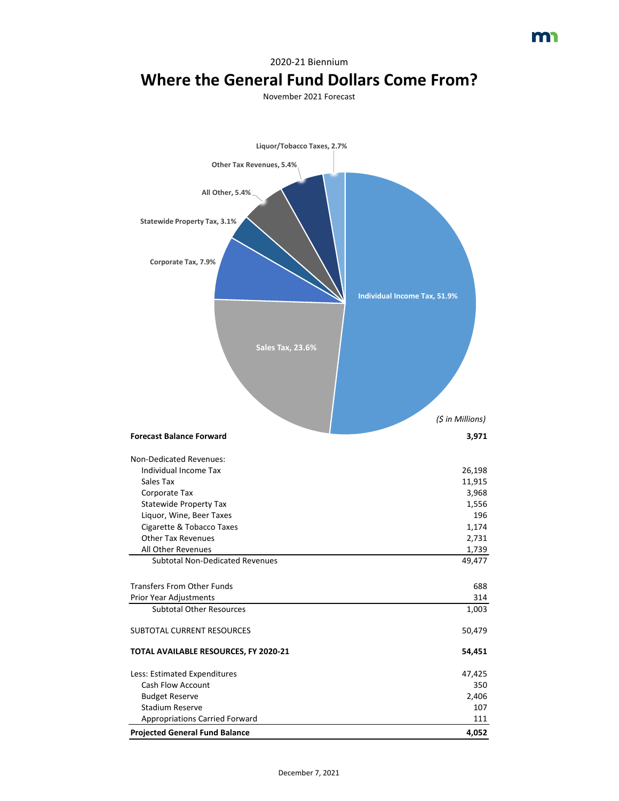## 2020-21 Biennium **Where the General Fund Dollars Come From?**

November 2021 Forecast

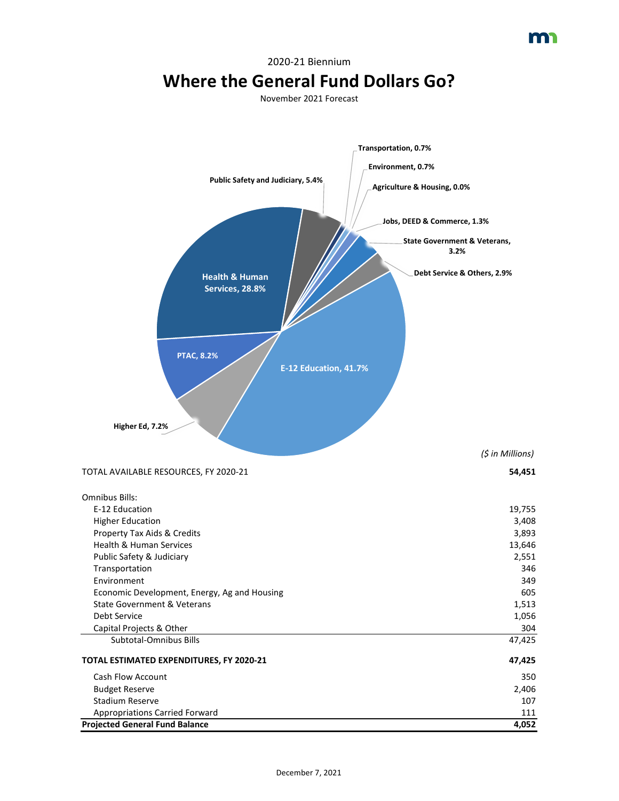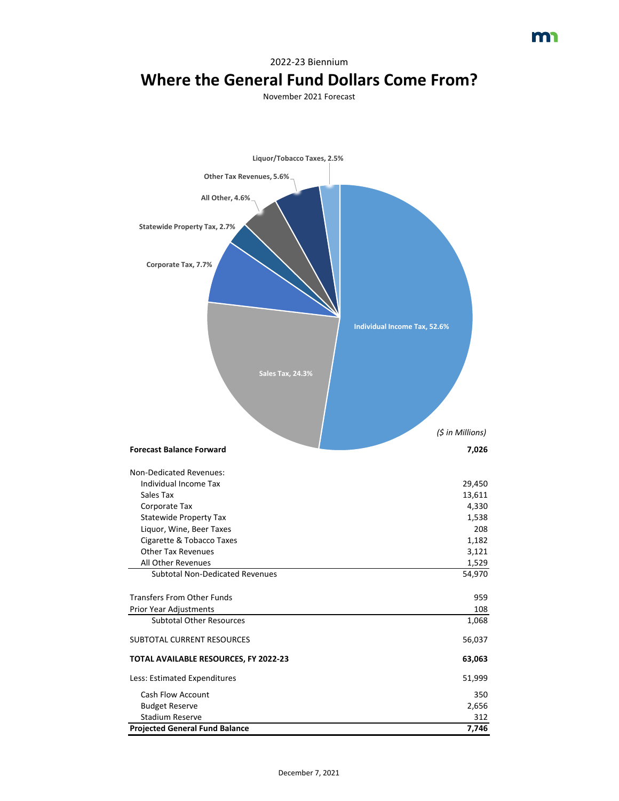## 2022-23 Biennium **Where the General Fund Dollars Come From?**

November 2021 Forecast

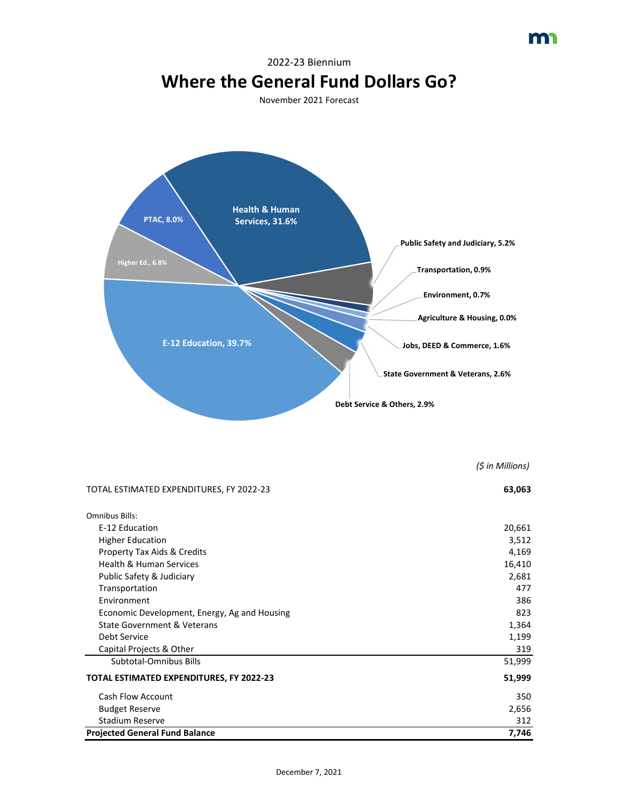

*(\$ in Millions)*

m

| TOTAL ESTIMATED EXPENDITURES, FY 2022-23                                     | 63,063          |
|------------------------------------------------------------------------------|-----------------|
| Omnibus Bills:                                                               |                 |
| E-12 Education                                                               | 20,661          |
| <b>Higher Education</b>                                                      | 3,512           |
| <b>Property Tax Aids &amp; Credits</b><br><b>Health &amp; Human Services</b> | 4,169<br>16,410 |
|                                                                              |                 |
| Transportation                                                               | 477             |
| Environment                                                                  | 386             |
| Economic Development, Energy, Ag and Housing                                 | 823             |
| <b>State Government &amp; Veterans</b>                                       | 1,364           |
| Debt Service                                                                 | 1,199           |
| Capital Projects & Other                                                     | 319             |
| Subtotal-Omnibus Bills                                                       | 51,999          |
| <b>TOTAL ESTIMATED EXPENDITURES, FY 2022-23</b>                              | 51,999          |
| <b>Cash Flow Account</b>                                                     | 350             |
| <b>Budget Reserve</b>                                                        | 2,656           |
| <b>Stadium Reserve</b>                                                       | 312             |
| <b>Projected General Fund Balance</b>                                        | 7,746           |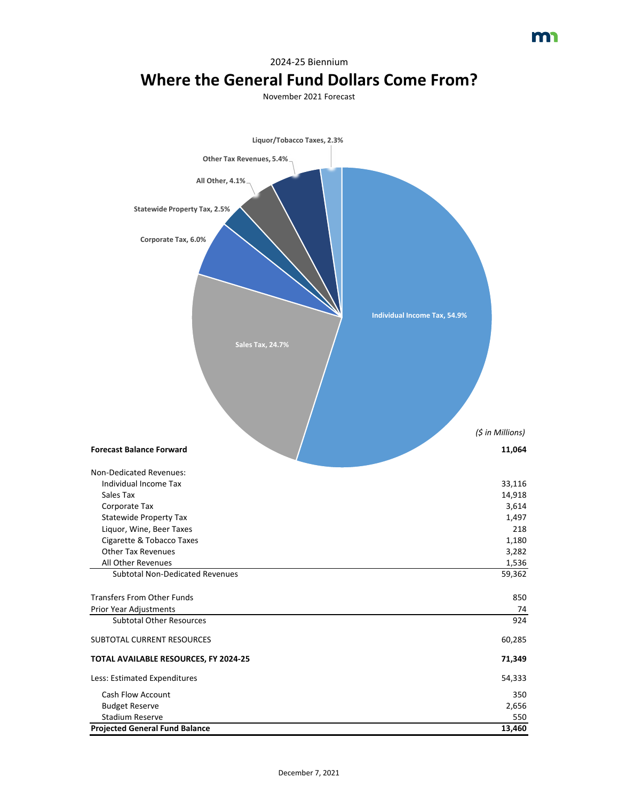| Liquor/Tobacco Taxes, 2.3%                                      |                                     |
|-----------------------------------------------------------------|-------------------------------------|
| Other Tax Revenues, 5.4%.                                       |                                     |
|                                                                 |                                     |
| All Other, 4.1%                                                 |                                     |
|                                                                 |                                     |
| <b>Statewide Property Tax, 2.5%</b>                             |                                     |
|                                                                 |                                     |
| Corporate Tax, 6.0%                                             |                                     |
|                                                                 |                                     |
|                                                                 |                                     |
|                                                                 |                                     |
|                                                                 |                                     |
|                                                                 | <b>Individual Income Tax, 54.9%</b> |
|                                                                 |                                     |
| <b>Sales Tax, 24.7%</b>                                         |                                     |
|                                                                 |                                     |
|                                                                 |                                     |
|                                                                 |                                     |
|                                                                 |                                     |
|                                                                 |                                     |
|                                                                 | (\$ in Millions)                    |
|                                                                 |                                     |
| <b>Forecast Balance Forward</b>                                 | 11,064                              |
| Non-Dedicated Revenues:                                         |                                     |
| Individual Income Tax                                           | 33,116                              |
| Sales Tax                                                       | 14,918                              |
| Corporate Tax                                                   | 3,614                               |
| <b>Statewide Property Tax</b><br>Liquor, Wine, Beer Taxes       | 1,497<br>218                        |
| Cigarette & Tobacco Taxes                                       | 1,180                               |
| <b>Other Tax Revenues</b>                                       | 3,282                               |
| All Other Revenues                                              | 1,536                               |
| <b>Subtotal Non-Dedicated Revenues</b>                          | 59,362                              |
| <b>Transfers From Other Funds</b>                               | 850                                 |
| Prior Year Adjustments                                          | 74                                  |
| <b>Subtotal Other Resources</b>                                 | 924                                 |
| SUBTOTAL CURRENT RESOURCES                                      | 60,285                              |
|                                                                 |                                     |
| TOTAL AVAILABLE RESOURCES, FY 2024-25                           | 71,349                              |
| Less: Estimated Expenditures                                    | 54,333                              |
| Cash Flow Account                                               | 350                                 |
| <b>Budget Reserve</b>                                           | 2,656                               |
| <b>Stadium Reserve</b><br><b>Projected General Fund Balance</b> | 550<br>13,460                       |

## 2024-25 Biennium **Where the General Fund Dollars Come From?**

November 2021 Forecast